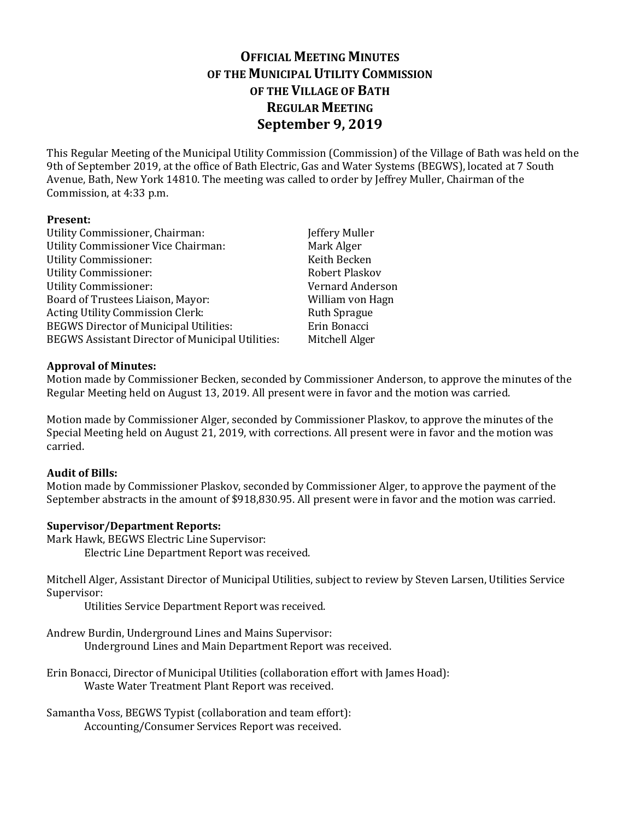# **OFFICIAL MEETING MINUTES OF THE MUNICIPAL UTILITY COMMISSION OF THE VILLAGE OF BATH REGULAR MEETING September 9, 2019**

This Regular Meeting of the Municipal Utility Commission (Commission) of the Village of Bath was held on the 9th of September 2019, at the office of Bath Electric, Gas and Water Systems (BEGWS), located at 7 South Avenue, Bath, New York 14810. The meeting was called to order by Jeffrey Muller, Chairman of the Commission, at 4:33 p.m.

### **Present:**

| Utility Commissioner, Chairman:                         | Jeffery Muller          |
|---------------------------------------------------------|-------------------------|
| Utility Commissioner Vice Chairman:                     | Mark Alger              |
| <b>Utility Commissioner:</b>                            | Keith Becken            |
| <b>Utility Commissioner:</b>                            | Robert Plaskov          |
| <b>Utility Commissioner:</b>                            | <b>Vernard Anderson</b> |
| Board of Trustees Liaison, Mayor:                       | William von Hagn        |
| Acting Utility Commission Clerk:                        | <b>Ruth Sprague</b>     |
| <b>BEGWS Director of Municipal Utilities:</b>           | Erin Bonacci            |
| <b>BEGWS Assistant Director of Municipal Utilities:</b> | Mitchell Alger          |

### **Approval of Minutes:**

Motion made by Commissioner Becken, seconded by Commissioner Anderson, to approve the minutes of the Regular Meeting held on August 13, 2019. All present were in favor and the motion was carried.

Motion made by Commissioner Alger, seconded by Commissioner Plaskov, to approve the minutes of the Special Meeting held on August 21, 2019, with corrections. All present were in favor and the motion was carried.

### **Audit of Bills:**

Motion made by Commissioner Plaskov, seconded by Commissioner Alger, to approve the payment of the September abstracts in the amount of \$918,830.95. All present were in favor and the motion was carried.

### **Supervisor/Department Reports:**

Mark Hawk, BEGWS Electric Line Supervisor:

Electric Line Department Report was received.

Mitchell Alger, Assistant Director of Municipal Utilities, subject to review by Steven Larsen, Utilities Service Supervisor:

Utilities Service Department Report was received.

Andrew Burdin, Underground Lines and Mains Supervisor:

Underground Lines and Main Department Report was received.

Erin Bonacci, Director of Municipal Utilities (collaboration effort with James Hoad): Waste Water Treatment Plant Report was received.

Samantha Voss, BEGWS Typist (collaboration and team effort): Accounting/Consumer Services Report was received.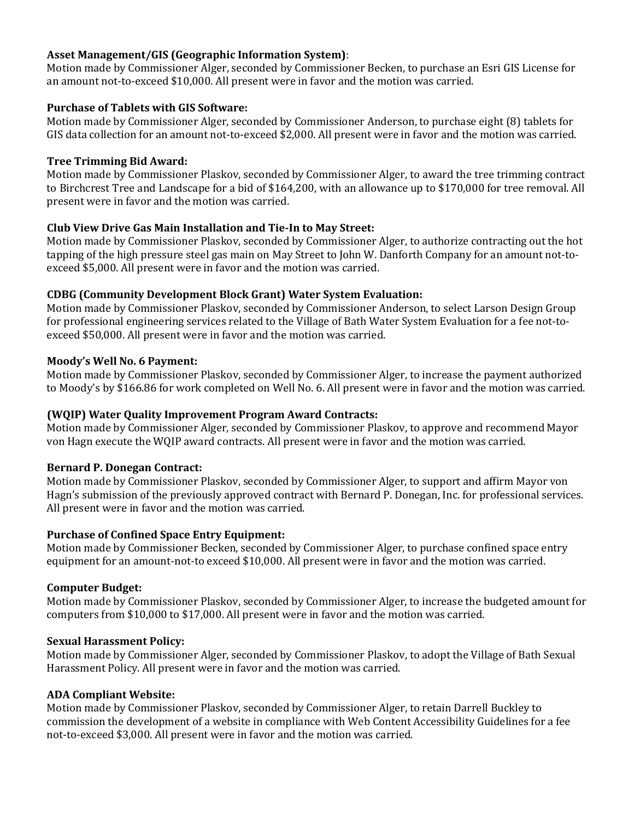### **Asset Management/GIS (Geographic Information System)**:

Motion made by Commissioner Alger, seconded by Commissioner Becken, to purchase an Esri GIS License for an amount not-to-exceed \$10,000. All present were in favor and the motion was carried.

# **Purchase of Tablets with GIS Software:**

Motion made by Commissioner Alger, seconded by Commissioner Anderson, to purchase eight (8) tablets for GIS data collection for an amount not-to-exceed \$2,000. All present were in favor and the motion was carried.

# **Tree Trimming Bid Award:**

Motion made by Commissioner Plaskov, seconded by Commissioner Alger, to award the tree trimming contract to Birchcrest Tree and Landscape for a bid of \$164,200, with an allowance up to \$170,000 for tree removal. All present were in favor and the motion was carried.

# **Club View Drive Gas Main Installation and Tie-In to May Street:**

Motion made by Commissioner Plaskov, seconded by Commissioner Alger, to authorize contracting out the hot tapping of the high pressure steel gas main on May Street to John W. Danforth Company for an amount not-toexceed \$5,000. All present were in favor and the motion was carried.

# **CDBG (Community Development Block Grant) Water System Evaluation:**

Motion made by Commissioner Plaskov, seconded by Commissioner Anderson, to select Larson Design Group for professional engineering services related to the Village of Bath Water System Evaluation for a fee not-toexceed \$50,000. All present were in favor and the motion was carried.

# **Moody's Well No. 6 Payment:**

Motion made by Commissioner Plaskov, seconded by Commissioner Alger, to increase the payment authorized to Moody's by \$166.86 for work completed on Well No. 6. All present were in favor and the motion was carried.

# **(WQIP) Water Quality Improvement Program Award Contracts:**

Motion made by Commissioner Alger, seconded by Commissioner Plaskov, to approve and recommend Mayor von Hagn execute the WQIP award contracts. All present were in favor and the motion was carried.

### **Bernard P. Donegan Contract:**

Motion made by Commissioner Plaskov, seconded by Commissioner Alger, to support and affirm Mayor von Hagn's submission of the previously approved contract with Bernard P. Donegan, Inc. for professional services. All present were in favor and the motion was carried.

# **Purchase of Confined Space Entry Equipment:**

Motion made by Commissioner Becken, seconded by Commissioner Alger, to purchase confined space entry equipment for an amount-not-to exceed \$10,000. All present were in favor and the motion was carried.

### **Computer Budget:**

Motion made by Commissioner Plaskov, seconded by Commissioner Alger, to increase the budgeted amount for computers from \$10,000 to \$17,000. All present were in favor and the motion was carried.

### **Sexual Harassment Policy:**

Motion made by Commissioner Alger, seconded by Commissioner Plaskov, to adopt the Village of Bath Sexual Harassment Policy. All present were in favor and the motion was carried.

### **ADA Compliant Website:**

Motion made by Commissioner Plaskov, seconded by Commissioner Alger, to retain Darrell Buckley to commission the development of a website in compliance with Web Content Accessibility Guidelines for a fee not-to-exceed \$3,000. All present were in favor and the motion was carried.